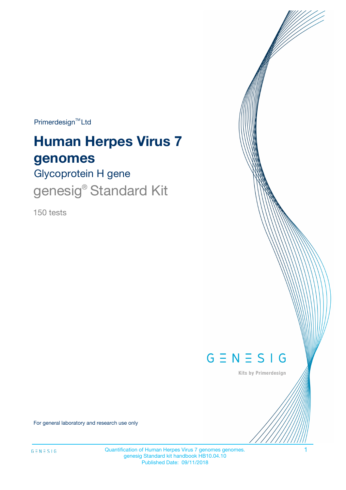$Primerdesign^{\text{TM}}Ltd$ 

# **Human Herpes Virus 7 genomes**

Glycoprotein H gene

genesig® Standard Kit

150 tests



Kits by Primerdesign

For general laboratory and research use only

Quantification of Human Herpes Virus 7 genomes genomes. 1 genesig Standard kit handbook HB10.04.10 Published Date: 09/11/2018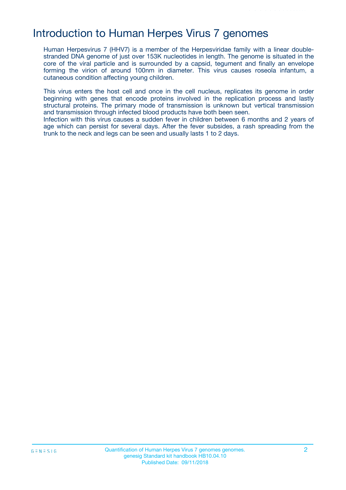### Introduction to Human Herpes Virus 7 genomes

Human Herpesvirus 7 (HHV7) is a member of the Herpesviridae family with a linear doublestranded DNA genome of just over 153K nucleotides in length. The genome is situated in the core of the viral particle and is surrounded by a capsid, tegument and finally an envelope forming the virion of around 100nm in diameter. This virus causes roseola infantum, a cutaneous condition affecting young children.

This virus enters the host cell and once in the cell nucleus, replicates its genome in order beginning with genes that encode proteins involved in the replication process and lastly structural proteins. The primary mode of transmission is unknown but vertical transmission and transmission through infected blood products have both been seen.

Infection with this virus causes a sudden fever in children between 6 months and 2 years of age which can persist for several days. After the fever subsides, a rash spreading from the trunk to the neck and legs can be seen and usually lasts 1 to 2 days.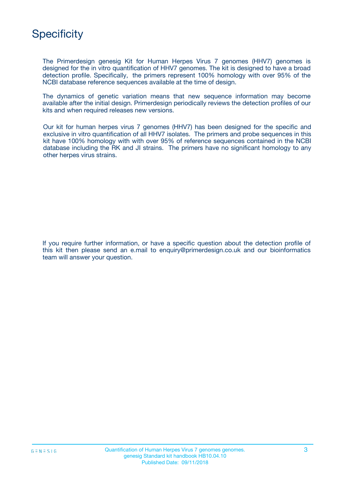# **Specificity**

The Primerdesign genesig Kit for Human Herpes Virus 7 genomes (HHV7) genomes is designed for the in vitro quantification of HHV7 genomes. The kit is designed to have a broad detection profile. Specifically, the primers represent 100% homology with over 95% of the NCBI database reference sequences available at the time of design.

The dynamics of genetic variation means that new sequence information may become available after the initial design. Primerdesign periodically reviews the detection profiles of our kits and when required releases new versions.

Our kit for human herpes virus 7 genomes (HHV7) has been designed for the specific and exclusive in vitro quantification of all HHV7 isolates. The primers and probe sequences in this kit have 100% homology with with over 95% of reference sequences contained in the NCBI database including the RK and JI strains. The primers have no significant homology to any other herpes virus strains.

If you require further information, or have a specific question about the detection profile of this kit then please send an e.mail to enquiry@primerdesign.co.uk and our bioinformatics team will answer your question.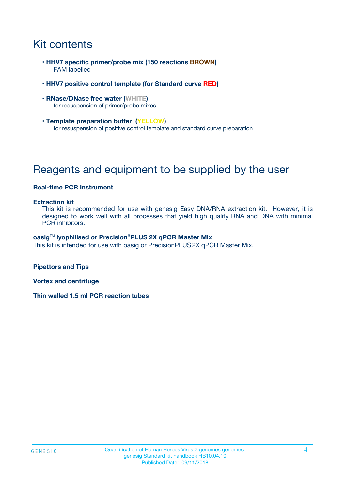# Kit contents

- **HHV7 specific primer/probe mix (150 reactions BROWN)** FAM labelled
- **HHV7 positive control template (for Standard curve RED)**
- **RNase/DNase free water (WHITE)** for resuspension of primer/probe mixes
- **Template preparation buffer (YELLOW)** for resuspension of positive control template and standard curve preparation

# Reagents and equipment to be supplied by the user

#### **Real-time PCR Instrument**

#### **Extraction kit**

This kit is recommended for use with genesig Easy DNA/RNA extraction kit. However, it is designed to work well with all processes that yield high quality RNA and DNA with minimal PCR inhibitors.

#### **oasig**TM **lyophilised or Precision**®**PLUS 2X qPCR Master Mix**

This kit is intended for use with oasig or PrecisionPLUS2X qPCR Master Mix.

**Pipettors and Tips**

**Vortex and centrifuge**

**Thin walled 1.5 ml PCR reaction tubes**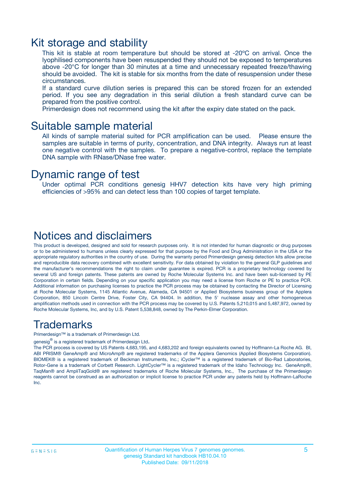### Kit storage and stability

This kit is stable at room temperature but should be stored at -20ºC on arrival. Once the lyophilised components have been resuspended they should not be exposed to temperatures above -20°C for longer than 30 minutes at a time and unnecessary repeated freeze/thawing should be avoided. The kit is stable for six months from the date of resuspension under these circumstances.

If a standard curve dilution series is prepared this can be stored frozen for an extended period. If you see any degradation in this serial dilution a fresh standard curve can be prepared from the positive control.

Primerdesign does not recommend using the kit after the expiry date stated on the pack.

### Suitable sample material

All kinds of sample material suited for PCR amplification can be used. Please ensure the samples are suitable in terms of purity, concentration, and DNA integrity. Always run at least one negative control with the samples. To prepare a negative-control, replace the template DNA sample with RNase/DNase free water.

### Dynamic range of test

Under optimal PCR conditions genesig HHV7 detection kits have very high priming efficiencies of >95% and can detect less than 100 copies of target template.

### Notices and disclaimers

This product is developed, designed and sold for research purposes only. It is not intended for human diagnostic or drug purposes or to be administered to humans unless clearly expressed for that purpose by the Food and Drug Administration in the USA or the appropriate regulatory authorities in the country of use. During the warranty period Primerdesign genesig detection kits allow precise and reproducible data recovery combined with excellent sensitivity. For data obtained by violation to the general GLP guidelines and the manufacturer's recommendations the right to claim under guarantee is expired. PCR is a proprietary technology covered by several US and foreign patents. These patents are owned by Roche Molecular Systems Inc. and have been sub-licensed by PE Corporation in certain fields. Depending on your specific application you may need a license from Roche or PE to practice PCR. Additional information on purchasing licenses to practice the PCR process may be obtained by contacting the Director of Licensing at Roche Molecular Systems, 1145 Atlantic Avenue, Alameda, CA 94501 or Applied Biosystems business group of the Applera Corporation, 850 Lincoln Centre Drive, Foster City, CA 94404. In addition, the 5' nuclease assay and other homogeneous amplification methods used in connection with the PCR process may be covered by U.S. Patents 5,210,015 and 5,487,972, owned by Roche Molecular Systems, Inc, and by U.S. Patent 5,538,848, owned by The Perkin-Elmer Corporation.

### Trademarks

Primerdesign™ is a trademark of Primerdesign Ltd.

genesig $^\circledR$  is a registered trademark of Primerdesign Ltd.

The PCR process is covered by US Patents 4,683,195, and 4,683,202 and foreign equivalents owned by Hoffmann-La Roche AG. BI, ABI PRISM® GeneAmp® and MicroAmp® are registered trademarks of the Applera Genomics (Applied Biosystems Corporation). BIOMEK® is a registered trademark of Beckman Instruments, Inc.; iCycler™ is a registered trademark of Bio-Rad Laboratories, Rotor-Gene is a trademark of Corbett Research. LightCycler™ is a registered trademark of the Idaho Technology Inc. GeneAmp®, TaqMan® and AmpliTaqGold® are registered trademarks of Roche Molecular Systems, Inc., The purchase of the Primerdesign reagents cannot be construed as an authorization or implicit license to practice PCR under any patents held by Hoffmann-LaRoche Inc.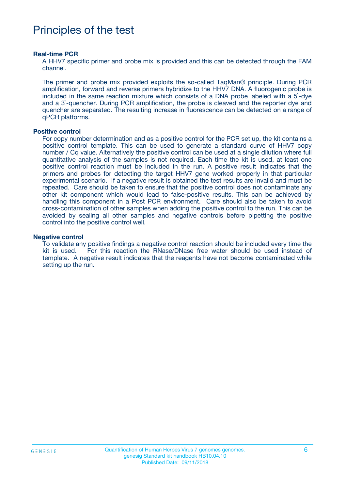# Principles of the test

#### **Real-time PCR**

A HHV7 specific primer and probe mix is provided and this can be detected through the FAM channel.

The primer and probe mix provided exploits the so-called TaqMan® principle. During PCR amplification, forward and reverse primers hybridize to the HHV7 DNA. A fluorogenic probe is included in the same reaction mixture which consists of a DNA probe labeled with a 5`-dye and a 3`-quencher. During PCR amplification, the probe is cleaved and the reporter dye and quencher are separated. The resulting increase in fluorescence can be detected on a range of qPCR platforms.

#### **Positive control**

For copy number determination and as a positive control for the PCR set up, the kit contains a positive control template. This can be used to generate a standard curve of HHV7 copy number / Cq value. Alternatively the positive control can be used at a single dilution where full quantitative analysis of the samples is not required. Each time the kit is used, at least one positive control reaction must be included in the run. A positive result indicates that the primers and probes for detecting the target HHV7 gene worked properly in that particular experimental scenario. If a negative result is obtained the test results are invalid and must be repeated. Care should be taken to ensure that the positive control does not contaminate any other kit component which would lead to false-positive results. This can be achieved by handling this component in a Post PCR environment. Care should also be taken to avoid cross-contamination of other samples when adding the positive control to the run. This can be avoided by sealing all other samples and negative controls before pipetting the positive control into the positive control well.

#### **Negative control**

To validate any positive findings a negative control reaction should be included every time the kit is used. For this reaction the RNase/DNase free water should be used instead of template. A negative result indicates that the reagents have not become contaminated while setting up the run.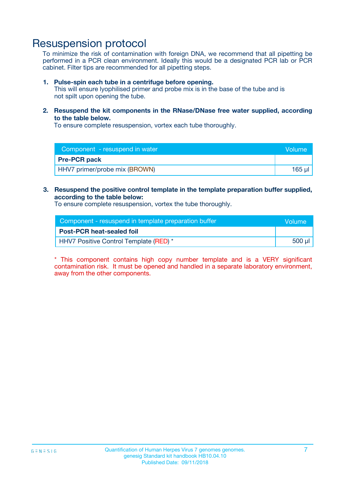## Resuspension protocol

To minimize the risk of contamination with foreign DNA, we recommend that all pipetting be performed in a PCR clean environment. Ideally this would be a designated PCR lab or PCR cabinet. Filter tips are recommended for all pipetting steps.

#### **1. Pulse-spin each tube in a centrifuge before opening.**

This will ensure lyophilised primer and probe mix is in the base of the tube and is not spilt upon opening the tube.

**2. Resuspend the kit components in the RNase/DNase free water supplied, according to the table below.**

To ensure complete resuspension, vortex each tube thoroughly.

| Component - resuspend in water | <b>Nolume</b> |
|--------------------------------|---------------|
| <b>Pre-PCR pack</b>            |               |
| HHV7 primer/probe mix (BROWN)  | 165 ul        |

**3. Resuspend the positive control template in the template preparation buffer supplied, according to the table below:**

To ensure complete resuspension, vortex the tube thoroughly.

| Component - resuspend in template preparation buffer |        |  |
|------------------------------------------------------|--------|--|
| <b>Post-PCR heat-sealed foil</b>                     |        |  |
| HHV7 Positive Control Template (RED) *               | 500 µl |  |

\* This component contains high copy number template and is a VERY significant contamination risk. It must be opened and handled in a separate laboratory environment, away from the other components.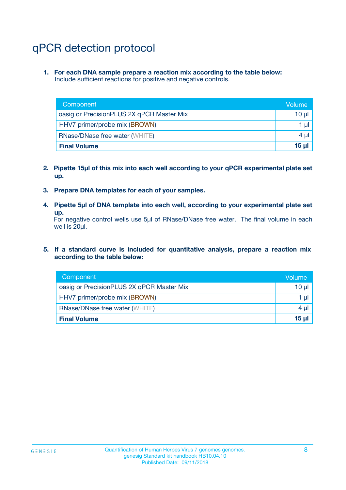# qPCR detection protocol

**1. For each DNA sample prepare a reaction mix according to the table below:** Include sufficient reactions for positive and negative controls.

| Component                                 | Volume          |
|-------------------------------------------|-----------------|
| oasig or PrecisionPLUS 2X qPCR Master Mix | 10 $\mu$        |
| HHV7 primer/probe mix (BROWN)             | 1 $\mu$         |
| <b>RNase/DNase free water (WHITE)</b>     | $4 \mu$         |
| <b>Final Volume</b>                       | 15 <sub>µ</sub> |

- **2. Pipette 15µl of this mix into each well according to your qPCR experimental plate set up.**
- **3. Prepare DNA templates for each of your samples.**
- **4. Pipette 5µl of DNA template into each well, according to your experimental plate set up.**

For negative control wells use 5µl of RNase/DNase free water. The final volume in each well is 20µl.

**5. If a standard curve is included for quantitative analysis, prepare a reaction mix according to the table below:**

| Component                                 | Volume     |
|-------------------------------------------|------------|
| oasig or PrecisionPLUS 2X qPCR Master Mix | 10 µl      |
| HHV7 primer/probe mix (BROWN)             | 1 µI       |
| <b>RNase/DNase free water (WHITE)</b>     | $4 \mu$    |
| <b>Final Volume</b>                       | $15$ $\mu$ |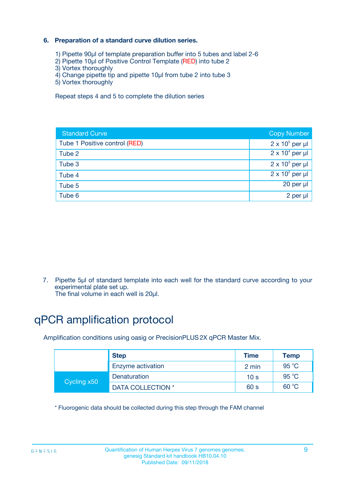### **6. Preparation of a standard curve dilution series.**

- 1) Pipette 90µl of template preparation buffer into 5 tubes and label 2-6
- 2) Pipette 10µl of Positive Control Template (RED) into tube 2
- 3) Vortex thoroughly
- 4) Change pipette tip and pipette 10µl from tube 2 into tube 3
- 5) Vortex thoroughly

Repeat steps 4 and 5 to complete the dilution series

| <b>Standard Curve</b>         | <b>Copy Number</b>     |
|-------------------------------|------------------------|
| Tube 1 Positive control (RED) | $2 \times 10^5$ per µl |
| Tube 2                        | $2 \times 10^4$ per µl |
| Tube 3                        | $2 \times 10^3$ per µl |
| Tube 4                        | $2 \times 10^2$ per µl |
| Tube 5                        | 20 per µl              |
| Tube 6                        | 2 per ul               |

7. Pipette 5µl of standard template into each well for the standard curve according to your experimental plate set up.

The final volume in each well is 20µl.

# qPCR amplification protocol

Amplification conditions using oasig or PrecisionPLUS2X qPCR Master Mix.

|             | <b>Step</b>       | <b>Time</b>     | Temp           |
|-------------|-------------------|-----------------|----------------|
|             | Enzyme activation | 2 min           | $95^{\circ}$ C |
| Cycling x50 | Denaturation      | 10 <sub>s</sub> | 95 $°C$        |
|             | DATA COLLECTION * | 60 s            | 60 °C          |

\* Fluorogenic data should be collected during this step through the FAM channel